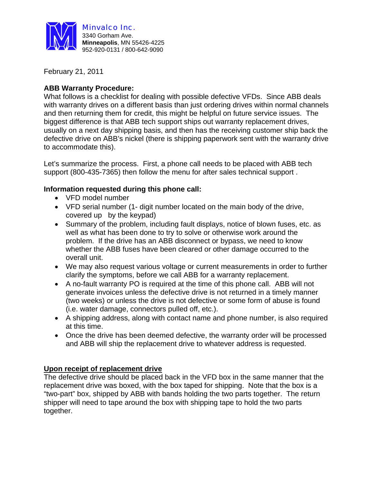

February 21, 2011

## **ABB Warranty Procedure:**

What follows is a checklist for dealing with possible defective VFDs. Since ABB deals with warranty drives on a different basis than just ordering drives within normal channels and then returning them for credit, this might be helpful on future service issues. The biggest difference is that ABB tech support ships out warranty replacement drives, usually on a next day shipping basis, and then has the receiving customer ship back the defective drive on ABB's nickel (there is shipping paperwork sent with the warranty drive to accommodate this).

Let's summarize the process. First, a phone call needs to be placed with ABB tech support (800-435-7365) then follow the menu for after sales technical support .

## **Information requested during this phone call:**

- VFD model number
- VFD serial number (1- digit number located on the main body of the drive, covered up by the keypad)
- Summary of the problem, including fault displays, notice of blown fuses, etc. as well as what has been done to try to solve or otherwise work around the problem. If the drive has an ABB disconnect or bypass, we need to know whether the ABB fuses have been cleared or other damage occurred to the overall unit.
- We may also request various voltage or current measurements in order to further clarify the symptoms, before we call ABB for a warranty replacement.
- A no-fault warranty PO is required at the time of this phone call. ABB will not generate invoices unless the defective drive is not returned in a timely manner (two weeks) or unless the drive is not defective or some form of abuse is found (i.e. water damage, connectors pulled off, etc.).
- A shipping address, along with contact name and phone number, is also required at this time.
- Once the drive has been deemed defective, the warranty order will be processed and ABB will ship the replacement drive to whatever address is requested.

## **Upon receipt of replacement drive**

The defective drive should be placed back in the VFD box in the same manner that the replacement drive was boxed, with the box taped for shipping. Note that the box is a "two-part" box, shipped by ABB with bands holding the two parts together. The return shipper will need to tape around the box with shipping tape to hold the two parts together.